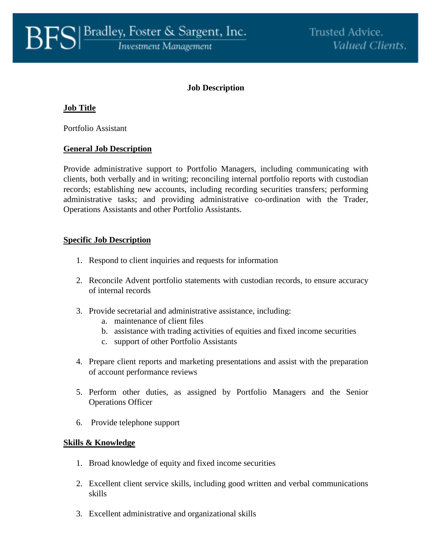# **Job Description**

# **Job Title**

Portfolio Assistant

### **General Job Description**

Provide administrative support to Portfolio Managers, including communicating with clients, both verbally and in writing; reconciling internal portfolio reports with custodian records; establishing new accounts, including recording securities transfers; performing administrative tasks; and providing administrative co-ordination with the Trader, Operations Assistants and other Portfolio Assistants.

### **Specific Job Description**

- 1. Respond to client inquiries and requests for information
- 2. Reconcile Advent portfolio statements with custodian records, to ensure accuracy of internal records
- 3. Provide secretarial and administrative assistance, including:
	- a. maintenance of client files
	- b. assistance with trading activities of equities and fixed income securities
	- c. support of other Portfolio Assistants
- 4. Prepare client reports and marketing presentations and assist with the preparation of account performance reviews
- 5. Perform other duties, as assigned by Portfolio Managers and the Senior Operations Officer
- 6. Provide telephone support

#### **Skills & Knowledge**

- 1. Broad knowledge of equity and fixed income securities
- 2. Excellent client service skills, including good written and verbal communications skills
- 3. Excellent administrative and organizational skills